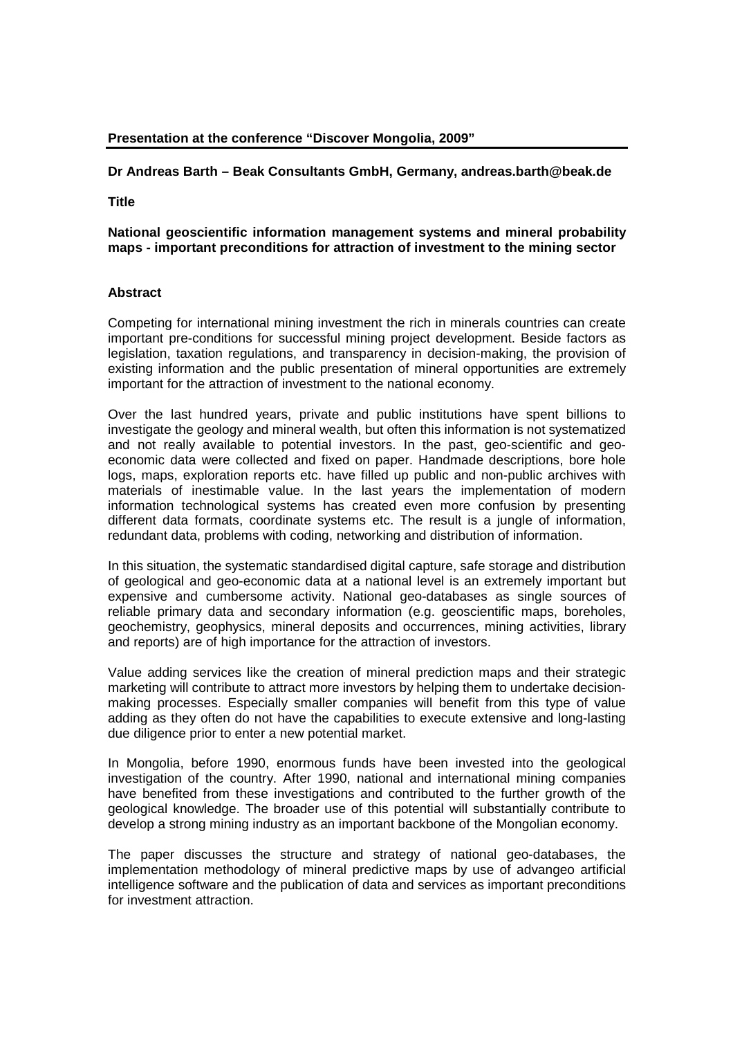# **Presentation at the conference "Discover Mongolia, 2009"**

## **Dr Andreas Barth – Beak Consultants GmbH, Germany, andreas.barth@beak.de**

**Title** 

#### **National geoscientific information management systems and mineral probability maps - important preconditions for attraction of investment to the mining sector**

#### **Abstract**

Competing for international mining investment the rich in minerals countries can create important pre-conditions for successful mining project development. Beside factors as legislation, taxation regulations, and transparency in decision-making, the provision of existing information and the public presentation of mineral opportunities are extremely important for the attraction of investment to the national economy.

Over the last hundred years, private and public institutions have spent billions to investigate the geology and mineral wealth, but often this information is not systematized and not really available to potential investors. In the past, geo-scientific and geoeconomic data were collected and fixed on paper. Handmade descriptions, bore hole logs, maps, exploration reports etc. have filled up public and non-public archives with materials of inestimable value. In the last years the implementation of modern information technological systems has created even more confusion by presenting different data formats, coordinate systems etc. The result is a jungle of information, redundant data, problems with coding, networking and distribution of information.

In this situation, the systematic standardised digital capture, safe storage and distribution of geological and geo-economic data at a national level is an extremely important but expensive and cumbersome activity. National geo-databases as single sources of reliable primary data and secondary information (e.g. geoscientific maps, boreholes, geochemistry, geophysics, mineral deposits and occurrences, mining activities, library and reports) are of high importance for the attraction of investors.

Value adding services like the creation of mineral prediction maps and their strategic marketing will contribute to attract more investors by helping them to undertake decisionmaking processes. Especially smaller companies will benefit from this type of value adding as they often do not have the capabilities to execute extensive and long-lasting due diligence prior to enter a new potential market.

In Mongolia, before 1990, enormous funds have been invested into the geological investigation of the country. After 1990, national and international mining companies have benefited from these investigations and contributed to the further growth of the geological knowledge. The broader use of this potential will substantially contribute to develop a strong mining industry as an important backbone of the Mongolian economy.

The paper discusses the structure and strategy of national geo-databases, the implementation methodology of mineral predictive maps by use of advangeo artificial intelligence software and the publication of data and services as important preconditions for investment attraction.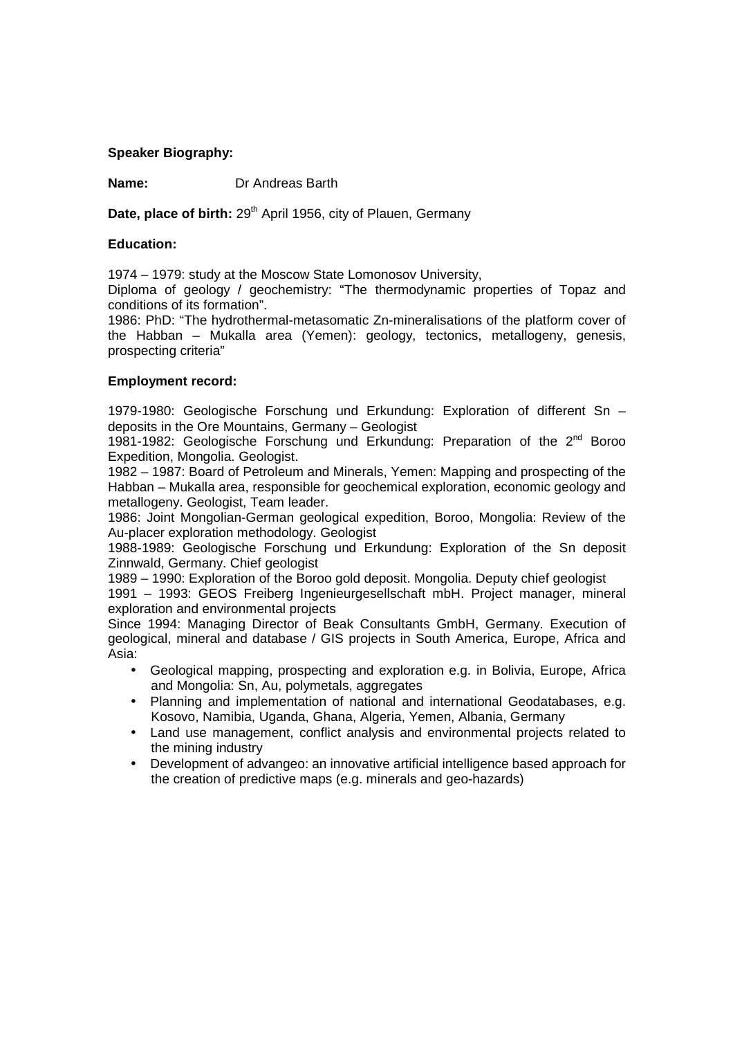## **Speaker Biography:**

**Name:** Dr Andreas Barth

**Date, place of birth:** 29<sup>th</sup> April 1956, city of Plauen, Germany

#### **Education:**

1974 – 1979: study at the Moscow State Lomonosov University,

Diploma of geology / geochemistry: "The thermodynamic properties of Topaz and conditions of its formation".

1986: PhD: "The hydrothermal-metasomatic Zn-mineralisations of the platform cover of the Habban – Mukalla area (Yemen): geology, tectonics, metallogeny, genesis, prospecting criteria"

## **Employment record:**

1979-1980: Geologische Forschung und Erkundung: Exploration of different Sn – deposits in the Ore Mountains, Germany – Geologist

1981-1982: Geologische Forschung und Erkundung: Preparation of the 2nd Boroo Expedition, Mongolia. Geologist.

1982 – 1987: Board of Petroleum and Minerals, Yemen: Mapping and prospecting of the Habban – Mukalla area, responsible for geochemical exploration, economic geology and metallogeny. Geologist, Team leader.

1986: Joint Mongolian-German geological expedition, Boroo, Mongolia: Review of the Au-placer exploration methodology. Geologist

1988-1989: Geologische Forschung und Erkundung: Exploration of the Sn deposit Zinnwald, Germany. Chief geologist

1989 – 1990: Exploration of the Boroo gold deposit. Mongolia. Deputy chief geologist

1991 – 1993: GEOS Freiberg Ingenieurgesellschaft mbH. Project manager, mineral exploration and environmental projects

Since 1994: Managing Director of Beak Consultants GmbH, Germany. Execution of geological, mineral and database / GIS projects in South America, Europe, Africa and Asia:

- Geological mapping, prospecting and exploration e.g. in Bolivia, Europe, Africa and Mongolia: Sn, Au, polymetals, aggregates
- Planning and implementation of national and international Geodatabases, e.g. Kosovo, Namibia, Uganda, Ghana, Algeria, Yemen, Albania, Germany
- Land use management, conflict analysis and environmental projects related to the mining industry
- Development of advangeo: an innovative artificial intelligence based approach for the creation of predictive maps (e.g. minerals and geo-hazards)